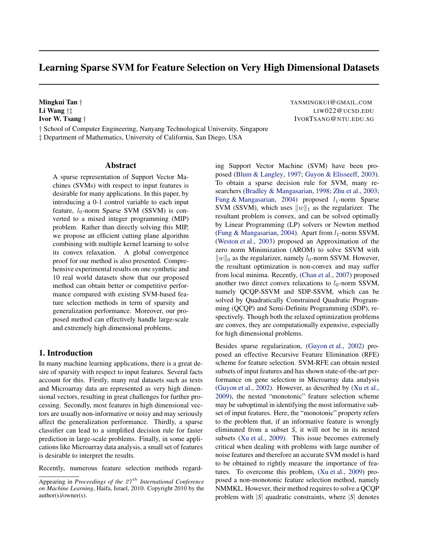# Learning Sparse SVM for Feature Selection on Very High Dimensional Datasets

Mingkui Tan *†* TANMINGKUI@GMAIL.COM Li Wang *†‡* LIW022@UCSD.EDU Ivor W. Tsang *†* IVORTSANG@NTU.EDU.SG

*†* School of Computer Engineering, Nanyang Technological University, Singapore *‡* Department of Mathematics, University of California, San Diego, USA

# Abstract

A sparse representation of Support Vector Machines (SVMs) with respect to input features is desirable for many applications. In this paper, by introducing a 0-1 control variable to each input feature,  $l_0$ -norm Sparse SVM (SSVM) is converted to a mixed integer programming (MIP) problem. Rather than directly solving this MIP, we propose an efficient cutting plane algorithm combining with multiple kernel learning to solve its convex relaxation. A global convergence proof for our method is also presented. Comprehensive experimental results on one synthetic and 10 real world datasets show that our proposed method can obtain better or competitive performance compared with existing SVM-based feature selection methods in term of sparsity and generalization performance. Moreover, our proposed method can effectively handle large-scale and extremely high dimensional problems.

# 1. Introduction

In many machine learning applications, there is a great desire of sparsity with respect to input features. Several facts account for this. Firstly, many real datasets such as texts and Microarray data are represented as very high dimensional vectors, resulting in great challenges for further processing. Secondly, most features in high dimensional vectors are usually non-informative or noisy and may seriously affect the generalization performance. Thirdly, a sparse classifier can lead to a simplified decision rule for faster prediction in large-scale problems. Finally, in some applications like Microarray data analysis, a small set of features is desirable to interpret the results.

Recently, numerous feature selection methods regard-

ing Support Vector Machine (SVM) have been proposed (Blum & Langley, 1997; Guyon & Elisseeff, 2003). To obtain a sparse decision rule for SVM, many researchers (Bradley & Mangasarian, 1998; Zhu et al., 2003; Fung & Mangasarian, 2004) proposed *l*<sub>1</sub>-norm Sparse SVM (SSVM), which uses *∥w∥*<sup>1</sup> as the regularizer. The resultant problem is convex, and can be solved optimally by Linear Programming (LP) solvers or Newton method (Fung & Mangasarian, 2004). Apart from  $l_1$ -norm SSVM, (Weston et al., 2003) proposed an Approximation of the zero norm Minimization (AROM) to solve SSVM with  $\|w\|_0$  as the regularizer, namely *l*<sub>0</sub>-norm SSVM. However, the resultant optimization is non-convex and may suffer from local minima. Recently, (Chan et al., 2007) proposed another two direct convex relaxations to  $l_0$ -norm SSVM, namely QCQP-SSVM and SDP-SSVM, which can be solved by Quadratically Constrained Quadratic Programming (QCQP) and Semi-Definite Programming (SDP), respectively. Though both the relaxed optimization problems are convex, they are computationally expensive, especially for high dimensional problems.

Besides sparse regularization, (Guyon et al., 2002) proposed an effective Recursive Feature Elimination (RFE) scheme for feature selection. SVM-RFE can obtain nested subsets of input features and has shown state-of-the-art performance on gene selection in Microarray data analysis (Guyon et al., 2002). However, as described by (Xu et al., 2009), the nested "monotonic" feature selection scheme may be suboptimal in identifying the most informative subset of input features. Here, the "monotonic" property refers to the problem that, if an informative feature is wrongly eliminated from a subset *S*, it will not be in its nested subsets (Xu et al., 2009). This issue becomes extremely critical when dealing with problems with large number of noise features and therefore an accurate SVM model is hard to be obtained to rightly measure the importance of features. To overcome this problem, (Xu et al., 2009) proposed a non-monotonic feature selection method, namely NMMKL. However, their method requires to solve a QCQP problem with *|S|* quadratic constraints, where *|S|* denotes

Appearing in *Proceedings of the 27 th International Conference on Machine Learning*, Haifa, Israel, 2010. Copyright 2010 by the author(s)/owner(s).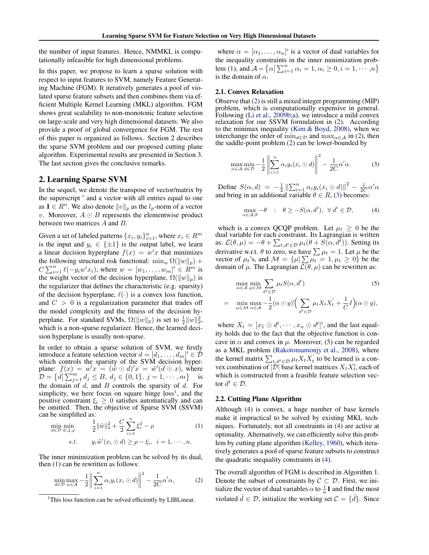the number of input features. Hence, NMMKL is computationally infeasible for high dimensional problems.

In this paper, we propose to learn a sparse solution with respect to input features to SVM, namely Feature Generating Machine (FGM). It iteratively generates a pool of violated sparse feature subsets and then combines them via efficient Multiple Kernel Learning (MKL) algorithm. FGM shows great scalability to non-monotonic feature selection on large-scale and very high dimensional datasets. We also provide a proof of global convergence for FGM. The rest of this paper is organized as follows. Section 2 describes the sparse SVM problem and our proposed cutting plane algorithm. Experimental results are presented in Section 3. The last section gives the conclusive remarks.

# 2. Learning Sparse SVM

In the sequel, we denote the transpose of vector/matrix by the superscript *′* and a vector with all entries equal to one as **1** ∈  $R^n$ . We also denote  $||v||_p$  as the  $l_p$ -norm of a vector *v*. Moreover, *A* ⊙ *B* represents the elementwise product between two matrices *A* and *B*.

Given a set of labeled patterns  $\{x_i, y_i\}_{i=1}^n$ , where  $x_i \in R^m$ is the input and  $y_i \in \{\pm 1\}$  is the output label, we learn a linear decision hyperplane  $f(x) = w'x$  that minimizes the following structural risk functional:  $\min_w \Omega(||w||_p)$  +  $C \sum_{i=1}^{n} \ell(-y_i w' x_i)$ , where  $w = [w_1, \ldots, w_m]' \in \mathbb{R}^m$  is the weight vector of the decision hyperplane,  $\Omega(\|w\|_p)$  is the regularizer that defines the characteristic (e.g. sparsity) of the decision hyperplane, *ℓ*(*·*) is a convex loss function, and  $C > 0$  is a regularization parameter that trades off the model complexity and the fitness of the decision hyperplane. For standard SVMs,  $\Omega(||w||_p)$  is set to  $\frac{1}{2}||w||_2^2$ , which is a non-sparse regularizer. Hence, the learned decision hyperplane is usually non-sparse.

In order to obtain a sparse solution of SVM, we firstly introduce a feature selection vector  $d = [d_1, \dots, d_m]' \in \mathcal{D}$ which controls the sparsity of the SVM decision hyperplane:  $f(x) = w'x = (\tilde{w} \odot d)'x = \tilde{w}'(d \odot x)$ , where  $\mathcal{D} = \{d \mid \sum_{j=1}^{m} d_j \leq B, d_j \in \{0, 1\}, j = 1, \cdots, m\}$  is the domain of *d*, and *B* controls the sparsity of *d*. For simplicity, we here focus on square hinge  $loss<sup>1</sup>$ , and the positive constraint  $\xi_i \geq 0$  satisfies automatically and can be omitted. Then, the objective of Sparse SVM (SSVM) can be simplified as:

$$
\min_{d \in \mathcal{D}} \min_{\tilde{w}, \xi, \rho} \qquad \frac{1}{2} ||\tilde{w}||_2^2 + \frac{C}{2} \sum_{i=1}^n \xi_i^2 - \rho \tag{1}
$$
\n
$$
s.t. \qquad y_i \tilde{w}'(x_i \odot d) \ge \rho - \xi_i, \ \ i = 1, \cdots, n.
$$

The inner minimization problem can be solved by its dual, then (1) can be rewritten as follows:

$$
\min_{d \in \mathcal{D}} \max_{\alpha \in \mathcal{A}} -\frac{1}{2} \left\| \sum_{i=1}^{n} \alpha_i y_i (x_i \odot d) \right\|^2 - \frac{1}{2C} \alpha' \alpha, \tag{2}
$$

where  $\alpha = [\alpha_1, \dots, \alpha_n]'$  is a vector of dual variables for the inequality constraints in the inner minimization problem (1), and  $\mathcal{A} = \{ \alpha \mid \sum_{i=1}^{n} \alpha_i = 1, \alpha_i \ge 0, i = 1, \cdots, n \}$ is the domain of *α*.

#### 2.1. Convex Relaxation

Observe that (2) is still a mixed integer programming (MIP) problem, which is computationally expensive in general. Following (Li et al., 2009b;a), we introduce a mild convex relaxation for our SSVM formulation in (2). According to the minimax inequality (Kim & Boyd, 2008), when we interchange the order of  $\min_{d \in \mathcal{D}}$  and  $\max_{\alpha \in \mathcal{A}}$  in (2), then the saddle-point problem (2) can be lower-bounded by

$$
\max_{\alpha \in \mathcal{A}} \min_{d \in \mathcal{D}} -\frac{1}{2} \left\| \sum_{i=1}^{n} \alpha_i y_i (x_i \odot d) \right\|^2 - \frac{1}{2C} \alpha' \alpha.
$$
 (3)

Define  $S(\alpha, d) = -\frac{1}{2} \left\| \sum_{i=1}^{n} \alpha_i y_i (x_i \odot d) \right\|^2 - \frac{1}{2C} \alpha' \alpha$ and bring in an additional variable  $\theta \in R$ , (3) becomes:

$$
\max_{\alpha \in \mathcal{A}, \theta} -\theta \quad : \quad \theta \ge -S(\alpha, d^t), \ \ \forall \ d^t \in \mathcal{D}, \tag{4}
$$

which is a convex QCQP problem. Let  $\mu_t \geq 0$  be the dual variable for each constraint. Its Lagrangian is written as:  $\mathcal{L}(\theta, \mu) = -\theta + \sum_{t, d^t \in \mathcal{D}} \mu_t(\theta + S(\alpha, d^t))$ . Setting its derivative w.r.t.  $\theta$  to zero, we have  $\sum \mu_t = 1$ . Let  $\mu$  be the vector of  $\mu_t$ 's, and  $\mathcal{M} = {\mu | \sum \mu_t = 1, \mu_t \ge 0}$  be the domain of  $\mu$ . The Lagrangian  $\mathcal{L}(\theta, \mu)$  can be rewritten as:

$$
\max_{\alpha \in \mathcal{A}} \min_{\mu \in \mathcal{M}} \sum_{d^t \in \mathcal{D}} \mu_t S(\alpha, d^t) \tag{5}
$$
\n
$$
= \min_{\mu \in \mathcal{M}} \max_{\alpha \in \mathcal{A}} -\frac{1}{2} (\alpha \odot y)' \Big( \sum_{d^t \in \mathcal{D}} \mu_t X_t X_t' + \frac{1}{C} I \Big) (\alpha \odot y),
$$

where  $X_t = [x_1 \odot d^t, \cdots, x_n \odot d^t]'$ , and the last equality holds due to the fact that the objective function is concave in  $\alpha$  and convex in  $\mu$ . Moreover, (5) can be regarded as a MKL problem (Rakotomamonjy et al., 2008), where the kernel matrix  $\sum_{t,d^t \in \mathcal{D}} \mu_t X_t X_t'$  to be learned is a convex combination of  $|\mathcal{D}|$  base kernel matrices  $X_t X_t'$ , each of which is constructed from a feasible feature selection vector  $d^t \in \mathcal{D}$ .

#### 2.2. Cutting Plane Algorithm

Although (4) is convex, a huge number of base kernels make it impractical to be solved by existing MKL techniques. Fortunately, not all constraints in (4) are active at optimality. Alternatively, we can efficiently solve this problem by cutting plane algorithm (Kelley, 1960), which iteratively generates a pool of sparse feature subsets to construct the quadratic inequality constraints in (4).

The overall algorithm of FGM is described in Algorithm 1. Denote the subset of constraints by  $C \subset \mathcal{D}$ . First, we initialize the vector of dual variables  $\alpha$  to  $\frac{1}{n}$ **1** and find the most violated  $\hat{d} \in \mathcal{D}$ , initialize the working set  $\mathcal{C} = \{\hat{d}\}\$ . Since

<sup>&</sup>lt;sup>1</sup>This loss function can be solved efficiently by LIBLinear.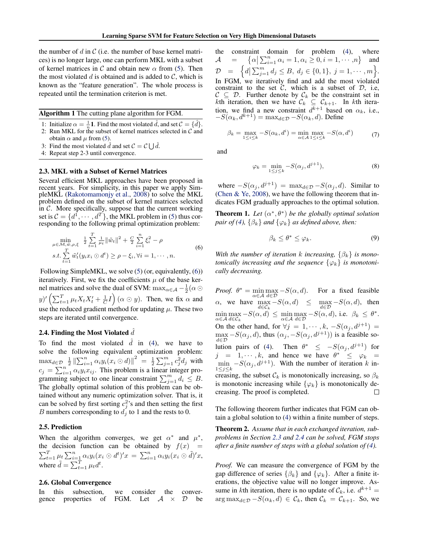the number of *d* in *C* (i.e. the number of base kernel matrices) is no longer large, one can perform MKL with a subset of kernel matrices in *C* and obtain new *α* from (5). Then the most violated  $d$  is obtained and is added to  $C$ , which is known as the "feature generation". The whole process is repeated until the termination criterion is met.

#### Algorithm 1 The cutting plane algorithm for FGM.

- 1: Initialize  $\alpha = \frac{1}{n}$ **1**. Find the most violated  $\hat{d}$ , and set  $C = \{\hat{d}\}\$ .
- 2: Run MKL for the subset of kernel matrices selected in *C* and obtain  $\alpha$  and  $\mu$  from (5).
- 3: Find the most violated  $\hat{d}$  and set  $C = C \bigcup \hat{d}$ .
- 4: Repeat step 2-3 until convergence.

#### 2.3. MKL with a Subset of Kernel Matrices

Several efficient MKL approaches have been proposed in recent years. For simplicity, in this paper we apply SimpleMKL (Rakotomamonjy et al., 2008) to solve the MKL problem defined on the subset of kernel matrices selected in  $C$ . More specifically, suppose that the current working set is  $C = \{d^1, \dots, d^T\}$ , the MKL problem in (5) thus corresponding to the following primal optimization problem:

$$
\min_{\mu \in \mathcal{M}, \tilde{w}, \rho, \xi} \frac{1}{2} \sum_{t=1}^{T} \frac{1}{\mu_t} \|\tilde{w}_t\|^2 + \frac{C}{2} \sum_{i=1}^{n} \xi_i^2 - \rho
$$
\n
$$
s.t. \sum_{t=1}^{T} \tilde{w}_t'(y_i x_i \odot d^t) \ge \rho - \xi_i, \forall i = 1, \cdots, n.
$$
\n(6)

Following SimpleMKL, we solve (5) (or, equivalently, (6)) iteratively. First, we fix the coefficients  $\mu$  of the base kernel matrices and solve the dual of SVM:  $\max_{\alpha \in \mathcal{A}} -\frac{1}{2}(\alpha \odot$  $(y)'$   $\left(\sum_{t=1}^T \mu_t X_t X_t' + \frac{1}{C} I\right)$   $(\alpha \odot y)$ . Then, we fix  $\alpha$  and use the reduced gradient method for updating  $\mu$ . These two steps are iterated until convergence.

#### 2.4. Finding the Most Violated  $\hat{d}$

To find the most violated  $\hat{d}$  in (4), we have to solve the following equivalent optimization problem:  $\max_{d \in \mathcal{D}} \left| \frac{1}{2} \left\| \sum_{i=1}^{n} \alpha_i y_i (x_i \odot d) \right\|^2 \right| = \frac{1}{2} \sum_{j=1}^{m} c_j^2 d_j$  with  $c_j = \sum_{i=1}^n \alpha_i y_i x_{ij}$ . This problem is a linear integer programming subject to one linear constraint  $\sum_{j=1}^{m} d_i \leq B$ . The globally optimal solution of this problem can be obtained without any numeric optimization solver. That is, it can be solved by first sorting  $c_j^2$ 's and then setting the first *B* numbers corresponding to *d<sup>j</sup>* to 1 and the rests to 0.

### 2.5. Prediction

When the algorithm converges, we get  $\alpha^*$  and  $\mu^*$ , the decision function can be obtained by  $f(x) =$  $\sum_{t=1}^{T} \mu_t \sum_{i=1}^{n} \alpha_i y_i (x_i \odot d^t)' x = \sum_{i=1}^{n} \alpha_i y_i (x_i \odot d^t)' x,$ where  $\tilde{d} = \sum_{t=1}^{T} \mu_t d^t$ .

#### 2.6. Global Convergence

In this subsection, we consider the convergence properties of FGM. Let  $A \times D$  be FGM. Let  $A \times D$  be the constraint domain for problem (4), where  $A =$  $\{\alpha \mid \sum_{i=1}^{n} \alpha_i = 1, \alpha_i \geq 0, i = 1, \cdots, n\}$  and  $\mathcal{D} = \left\{ d \mid \sum_{j=1}^{m} d_j \leq B, d_j \in \{0,1\}, j = 1, \cdots, m \right\}.$ In FGM, we iteratively find and add the most violated constraint to the set  $C$ , which is a subset of  $D$ , i.e,  $C \subseteq D$ . Further denote by  $C_k$  be the constraint set in *k*th iteration, then we have  $C_k \subseteq C_{k+1}$ . In *k*th iteration, we find a new constraint  $d^{k+1}$  based on  $\alpha_k$ , i.e.,  $-S(\alpha_k, d^{k+1}) = \max_{d \in \mathcal{D}} -S(\alpha_k, d)$ . Define

$$
\beta_k = \max_{1 \le i \le k} -S(\alpha_k, d^i) = \min_{\alpha \in \mathcal{A}} \max_{1 \le i \le k} -S(\alpha, d^i) \tag{7}
$$

and

$$
\varphi_k = \min_{1 \le j \le k} -S(\alpha_j, d^{j+1}),\tag{8}
$$

where  $-S(\alpha_i, d^{j+1}) = \max_{d \in \mathcal{D}} -S(\alpha_i, d)$ . Similar to (Chen & Ye, 2008), we have the following theorem that indicates FGM gradually approaches to the optimal solution.

**Theorem 1.** Let  $(\alpha^*, \theta^*)$  be the globally optimal solution *pair of (4),*  $\{\beta_k\}$  *and*  $\{\varphi_k\}$  *as defined above, then:* 

$$
\beta_k \le \theta^* \le \varphi_k. \tag{9}
$$

*With the number of iteration k increasing*,  $\{\beta_k\}$  *is monotonically increasing and the sequence*  $\{\varphi_k\}$  *is monotonically decreasing.*

*Proof.*  $\theta^* = \min \max_{\alpha} -S(\alpha, d)$ . For a fixed feasible *α∈A d∈D α*, we have max  $\max_{d \in \mathcal{C}_k} -S(\alpha, d) \leq \max_{d \in \mathcal{D}} -S(\alpha, d),$  then min max  $\max_{d \in \mathcal{C}_k} -S(\alpha, d) \leq \min_{\alpha \in \mathcal{A}}$ max  $\max_{d \in \mathcal{D}} -S(\alpha, d)$ , i.e.  $\beta_k \leq \theta^*$ . *α∈A* On the other hand, for  $\forall j = 1, \dots, k, -S(\alpha_j, d^{j+1}) =$  $\max_{d \in \mathcal{D}} -S(\alpha_j, d)$ , thus  $(\alpha_j, -S(\alpha_j, d^{j+1}))$  is a feasible somax lution pairs of (4). Then  $\theta^* \leq -S(\alpha_j, d^{j+1})$  for  $j = 1, \dots, k$ , and hence we have  $\theta^* \leq \varphi_k =$  $\min_{\mathbf{z}} -S(\alpha_j, d^{j+1})$ . With the number of iteration *k* in-1*≤j≤k* creasing, the subset  $C_k$  is monotonically increasing, so  $\beta_k$ is monotonic increasing while  $\{\varphi_k\}$  is monotonically decreasing. The proof is completed. П

The following theorem further indicates that FGM can obtain a global solution to (4) within a finite number of steps.

Theorem 2. *Assume that in each exchanged iteration, subproblems in Section 2.3 and 2.4 can be solved, FGM stops after a finite number of steps with a global solution of (4).*

*Proof.* We can measure the convergence of FGM by the gap difference of series  $\{\beta_k\}$  and  $\{\varphi_k\}$ . After a finite iterations, the objective value will no longer improve. Assume in *k*th iteration, there is no update of  $\mathcal{C}_k$ , i.e.  $d^{k+1} =$  $\arg \max_{d \in \mathcal{D}} -S(\alpha_k, d) \in \mathcal{C}_k$ , then  $\mathcal{C}_k = \mathcal{C}_{k+1}$ . So, we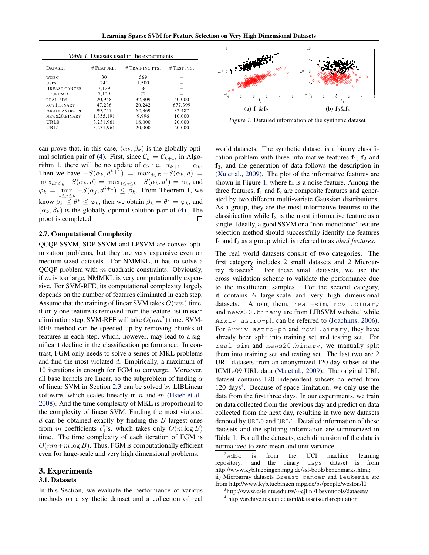| Table 1. Datasets used in the experiments |            |                 |             |  |  |
|-------------------------------------------|------------|-----------------|-------------|--|--|
| <b>DATASET</b>                            | # FEATURES | # TRAINING PTS. | # TEST PTS. |  |  |
| <b>WDBC</b>                               | 30         | 569             |             |  |  |
| <b>USPS</b>                               | 241        | 1,500           |             |  |  |
| BREAST CANCER                             | 7.129      | 38              |             |  |  |
| LEUKEMIA                                  | 7.129      | 72              |             |  |  |
| REAL-SIM                                  | 20,958     | 32,309          | 40,000      |  |  |
| RCV <sub>1</sub> .BINARY                  | 47.236     | 20.242          | 677,399     |  |  |
| <b>ARXIV ASTRO-PH</b>                     | 99.757     | 62.369          | 32,487      |  |  |
| NEWS20.BINARY                             | 1,355,191  | 9.996           | 10,000      |  |  |
| URL0                                      | 3,231,961  | 16,000          | 20,000      |  |  |
| URL1                                      | 3,231,961  | 20,000          | 20,000      |  |  |

can prove that, in this case,  $(\alpha_k, \beta_k)$  is the globally optimal solution pair of (4). First, since  $C_k = C_{k+1}$ , in Algorithm 1, there will be no update of  $\alpha$ , i.e.  $\alpha_{k+1} = \alpha_k$ . Then we have  $-S(\alpha_k, d^{k+1}) = \max_{d \in \mathcal{D}} -S(\alpha_k, d)$  $\max_{d \in \mathcal{C}_k} -S(\alpha_k, d) = \max_{1 \le i \le k} -S(\alpha_k, d^i) = \beta_k$ , and  $\varphi_k = \min_{1 \le j \le k} -S(\alpha_j, d^{j+1}) \le \overline{\beta}_k$ . From Theorem 1, we know  $\beta_k \leq \theta^* \leq \varphi_k$ , then we obtain  $\beta_k = \theta^* = \varphi_k$ , and  $(\alpha_k, \beta_k)$  is the globally optimal solution pair of (4). The proof is completed.  $\Box$ 

#### 2.7. Computational Complexity

QCQP-SSVM, SDP-SSVM and LPSVM are convex optimization problems, but they are very expensive even on medium-sized datasets. For NMMKL, it has to solve a QCQP problem with *m* quadratic constraints. Obviously, if *m* is too large, NMMKL is very computationally expensive. For SVM-RFE, its computational complexity largely depends on the number of features eliminated in each step. Assume that the training of linear SVM takes *O*(*nm*) time, if only one feature is removed from the feature list in each elimination step, SVM-RFE will take *O*(*nm*<sup>2</sup> ) time. SVM-RFE method can be speeded up by removing chunks of features in each step, which, however, may lead to a significant decline in the classification performance. In contrast, FGM only needs to solve a series of MKL problems and find the most violated *d*. Empirically, a maximum of 10 iterations is enough for FGM to converge. Moreover, all base kernels are linear, so the subproblem of finding *α* of linear SVM in Section 2.3 can be solved by LIBLinear software, which scales linearly in *n* and *m* (Hsieh et al., 2008). And the time complexity of MKL is proportional to the complexity of linear SVM. Finding the most violated *d* can be obtained exactly by finding the *B* largest ones from *m* coefficients  $c_j^2$ 's, which takes only  $O(m \log B)$ time. The time complexity of each iteration of FGM is  $O(nm+m \log B)$ . Thus, FGM is computationally efficient even for large-scale and very high dimensional problems.

# 3. Experiments

# 3.1. Datasets

In this Section, we evaluate the performance of various methods on a synthetic dataset and a collection of real



Figure 1. Detailed information of the synthetic dataset

world datasets. The synthetic dataset is a binary classification problem with three informative features  $f_1$ ,  $f_2$  and  $f_3$ , and the generation of data follows the description in (Xu et al., 2009). The plot of the informative features are shown in Figure 1, where  $f_4$  is a noise feature. Among the three features,  $f_1$  and  $f_2$  are composite features and generated by two different multi-variate Gaussian distributions. As a group, they are the most informative features to the classification while  $f_3$  is the most informative feature as a single. Ideally, a good SSVM or a "non-monotonic" feature selection method should successfully identify the features  $f_1$  and  $f_2$  as a group which is referred to as *ideal features*.

The real world datasets consist of two categories. The first category includes 2 small datasets and 2 Microarray datasets<sup>2</sup>. . For these small datasets, we use the cross validation scheme to validate the performance due to the insufficient samples. For the second category, it contains 6 large-scale and very high dimensional datasets. Among them, real-sim, rcv1.binary and news20.binary are from LIBSVM website<sup>3</sup> while Arxiv astro-ph can be referred to (Joachims, 2006). For Arxiv astro-ph and rcv1.binary, they have already been split into training set and testing set. For real-sim and news20.binary, we manually split them into training set and testing set. The last two are 2 URL datasets from an anonymized 120-day subset of the ICML-09 URL data (Ma et al., 2009). The original URL dataset contains 120 independent subsets collected from 120 days<sup>4</sup>. Because of space limitation, we only use the data from the first three days. In our experiments, we train on data collected from the previous day and predict on data collected from the next day, resulting in two new datasets denoted by URL0 and URL1. Detailed information of these datasets and the splitting information are summarized in Table 1. For all the datasets, each dimension of the data is normalized to zero mean and unit variance.

 $2$ <sup>w</sup>dbc is from the UCI machine learning repository, and the binary usps dataset is from and the binary usps dataset is from http://www.kyb.tuebingen.mpg.de/ssl-book/benchmarks.html; ii) Microarray datasets Breast cancer and Leukemia are from http://www.kyb.tuebingen.mpg.de/bs/people/weston/l0

3 http://www.csie.ntu.edu.tw/*∼*cjlin /libsvmtools/datasets/

4 http://archive.ics.uci.edu/ml/datasets/url+reputation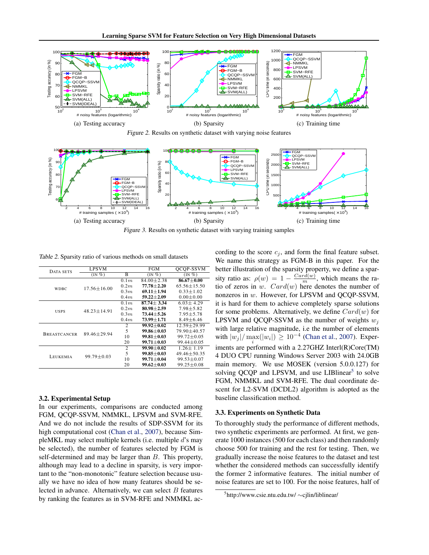

Figure 2. Results on synthetic dataset with varying noise features



Figure 3. Results on synthetic dataset with varying training samples

Table 2. Sparsity ratio of various methods on small datasets

| DATA SETS           | <b>LPSVM</b>          |                  | FGM              | OCOP-SSVM         |
|---------------------|-----------------------|------------------|------------------|-------------------|
|                     | $(N\sqrt[6]{\theta})$ | в                | $(IN \%)$        | $($ IN $%$        |
| WDBC.               |                       | 0.1 <sub>m</sub> | $84.00 + 2.38$   | $86.67 \pm 0.00$  |
|                     | $17.56 + 16.00$       | 0.2m             | $77.78 \pm 2.20$ | $65.56 \pm 15.50$ |
|                     |                       | 0.3m             | $69.11 \pm 1.94$ | $0.33 \pm 1.02$   |
|                     |                       | 0.4m             | $59.22 \pm 2.09$ | $0.00 \pm 0.00$   |
| <b>USPS</b>         |                       | 0.1 <sub>m</sub> | $87.74 \pm 3.34$ | $6.03 \pm 4.29$   |
|                     | $48.23 \pm 14.91$     | 0.2m             | $80.98 \pm 2.59$ | $7.98 \pm 5.82$   |
|                     |                       | 0.3m             | $73.44 + 5.26$   | $7.95 + 5.78$     |
|                     |                       | 0.4m             | $73.99 \pm 1.71$ | $8.49 \pm 6.46$   |
| <b>BREASTCANCER</b> | $89.46 + 29.94$       | $\overline{c}$   | $99.92 \pm 0.02$ | $12.59 \pm 29.99$ |
|                     |                       | 5                | $99.86 + 0.03$   | 79.90±40.57       |
|                     |                       | 10               | $99.81 + 0.03$   | $99.72 \pm 0.05$  |
|                     |                       | 20               | $99.71 \pm 0.03$ | $99.44 \pm 0.05$  |
| LEUKEMIA            | $99.79 \pm 0.03$      | 2                | $99.90 + 0.02$   | $1.26 \pm 1.19$   |
|                     |                       | 5                | $99.85 \pm 0.03$ | $49.46 \pm 50.35$ |
|                     |                       | 10               | $99.71 \pm 0.04$ | $99.53 \pm 0.07$  |
|                     |                       | 20               | $99.62 \pm 0.03$ | $99.25 \pm 0.08$  |

#### 3.2. Experimental Setup

In our experiments, comparisons are conducted among FGM, QCQP-SSVM, NMMKL, LPSVM and SVM-RFE. And we do not include the results of SDP-SSVM for its high computational cost (Chan et al., 2007), because SimpleMKL may select multiple kernels (i.e. multiple *d*'s may be selected), the number of features selected by FGM is self-determined and may be larger than *B*. This property, although may lead to a decline in sparsity, is very important to the "non-monotonic" feature selection because usually we have no idea of how many features should be selected in advance. Alternatively, we can select *B* features by ranking the features as in SVM-RFE and NMMKL according to the score  $c_j$ , and form the final feature subset. We name this strategy as FGM-B in this paper. For the better illustration of the sparsity property, we define a sparsity ratio as:  $\rho(w) = 1 - \frac{Card(w)}{m}$ , which means the ratio of zeros in *w*. *Card*(*w*) here denotes the number of nonzeros in *w*. However, for LPSVM and QCQP-SSVM, it is hard for them to achieve completely sparse solutions for some problems. Alternatively, we define *Card*(*w*) for **LPSVM** and QCQP-SSVM as the number of weights  $w_j$ with large relative magnitude, i.e the number of elements  $\frac{1}{2}$  with  $|w_j| / \max(|w_i|) \ge 10^{-4}$  (Chan et al., 2007). Experiments are performed with a 2.27GHZ Interl(R)Core(TM) 4 DUO CPU running Windows Server 2003 with 24.0GB main memory. We use MOSEK (version 5.0.0.127) for solving QCQP and LPSVM, and use LIBlinear<sup>5</sup> to solve FGM, NMMKL and SVM-RFE. The dual coordinate descent for L2-SVM (DCDL2) algorithm is adopted as the baseline classification method.

## 3.3. Experiments on Synthetic Data

To thoroughly study the performance of different methods, two synthetic experiments are performed. At first, we generate 1000 instances (500 for each class) and then randomly choose 500 for training and the rest for testing. Then, we gradually increase the noise features to the dataset and test whether the considered methods can successfully identify the former 2 informative features. The initial number of noise features are set to 100. For the noise features, half of

<sup>5</sup> http://www.csie.ntu.edu.tw/ *∼*cjlin/liblinear/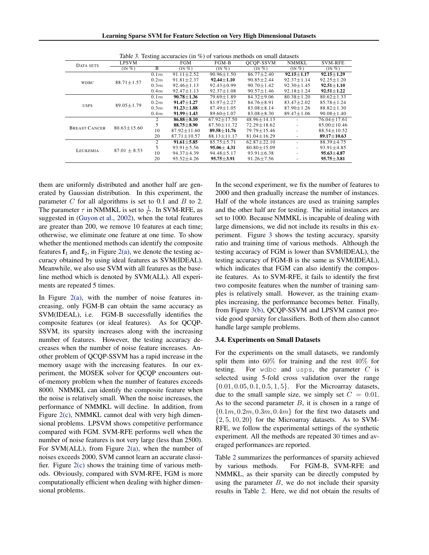Learning Sparse SVM for Feature Selection on Very High Dimensional Datasets

| <i>rapic 5.</i> Testing accuracies (in 70) or various inculous on sinan datasets |                   |                |                   |                   |                   |                  |                   |
|----------------------------------------------------------------------------------|-------------------|----------------|-------------------|-------------------|-------------------|------------------|-------------------|
| DATA SETS                                                                        | <b>LPSVM</b>      |                | FGM               | $FGM-B$           | OCOP-SSVM         | <b>NMMKL</b>     | <b>SVM-RFE</b>    |
|                                                                                  | $(IN\%)$          | $\overline{B}$ | $(IN\%)$          | $(N \%)$          | $(IN\%)$          | $(IN\%)$         | $(IN\%)$          |
| <b>WDBC</b>                                                                      | $88.71 \pm 1.57$  | 0.1m           | $91.11 \pm 2.52$  | $90.96 + 1.50$    | $86.77 + 2.40$    | $92.15 \pm 1.17$ | $92.15 \pm 1.29$  |
|                                                                                  |                   | 0.2m           | $91.81 \pm 2.37$  | $92.44 \pm 1.10$  | $90.85 \pm 2.44$  | $92.37 \pm 1.14$ | $92.25 + 1.20$    |
|                                                                                  |                   | 0.3m           | $92.46 + 1.13$    | $92.43 + 0.99$    | $90.70 + 1.42$    | $92.30 + 1.45$   | $92.51 \pm 1.10$  |
|                                                                                  |                   | 0.4m           | $92.47 \pm 1.13$  | $92.37 \pm 1.08$  | $90.57 \pm 1.46$  | $92.18 \pm 1.24$ | $92.51 \pm 1.22$  |
| <b>USPS</b>                                                                      |                   | 0.1m           | $90.78 + 1.36$    | $79.69 + 1.89$    | $84.32 \pm 9.06$  | $80.38 + 1.20$   | $80.62 \pm 1.33$  |
|                                                                                  | $89.05 \pm 1.79$  | 0.2m           | $91.47 \pm 1.27$  | $81.97 \pm 2.27$  | $84.76 \pm 8.91$  | $83.47 \pm 2.02$ | $85.78 \pm 1.24$  |
|                                                                                  |                   | 0.3m           | $91.23 \pm 1.88$  | $87.49 + 1.05$    | $83.08 \pm 8.14$  | $87.90 \pm 1.26$ | $88.82 \pm 1.30$  |
|                                                                                  |                   | 0.4m           | $91.99 \pm 1.43$  | $89.60 \pm 1.07$  | $83.08 \pm 8.30$  | $89.47 \pm 1.06$ | $90.08 \pm 1.40$  |
| <b>BREAST CANCER</b>                                                             | $80.63 \pm 15.60$ | 2              | $86.88 \pm 8.10$  | $67.92 + 17.50$   | $48.96 + 14.13$   |                  | $76.04 + 17.61$   |
|                                                                                  |                   | 5              | $88.75 \pm 8.90$  | $87.50 \pm 11.72$ | $72.29 \pm 18.62$ |                  | $85.00 \pm 10.46$ |
|                                                                                  |                   | 10             | $87.92 + 11.60$   | $89.58 + 11.76$   | $79.79 + 15.46$   |                  | $88.54 \pm 10.52$ |
|                                                                                  |                   | 20             | $87.71 \pm 10.57$ | $88.13 \pm 11.17$ | $81.04 \pm 16.29$ |                  | $89.17 \pm 10.63$ |
| LEUKEMIA                                                                         | $87.01 \pm 8.53$  | 2              | $91.61 \pm 5.85$  | $85.75 \pm 5.71$  | $62.87 \pm 22.10$ |                  | $88.39 \pm 4.75$  |
|                                                                                  |                   | 5              | $93.91 \pm 5.56$  | $95.06 \pm 4.31$  | $80.80 \pm 15.09$ |                  | $93.91 \pm 4.85$  |
|                                                                                  |                   | 10             | $94.37 \pm 4.39$  | $94.48 \pm 5.17$  | $93.91 \pm 6.38$  |                  | $95.63 \pm 4.87$  |
|                                                                                  |                   | 20             | $95.52 \pm 4.26$  | $95.75 \pm 3.91$  | $91.26 \pm 7.56$  |                  | $95.75 \pm 3.81$  |

Table 3. Testing accuracies (in  $\%$ ) of various methods on small datasets

them are uniformly distributed and another half are generated by Gaussian distribution. In this experiment, the parameter *C* for all algorithms is set to 0.1 and *B* to 2. The parameter  $\tau$  in NMMKL is set to  $\frac{1}{C}$ . In SVM-RFE, as suggested in (Guyon et al., 2002), when the total features are greater than 200, we remove 10 features at each time; otherwise, we eliminate one feature at one time. To show whether the mentioned methods can identify the composite features  $f_1$  and  $f_2$ , in Figure 2(a), we denote the testing accuracy obtained by using ideal features as SVM(IDEAL). Meanwhile, we also use SVM with all features as the baseline method which is denoted by SVM(ALL). All experiments are repeated 5 times.

In Figure  $2(a)$ , with the number of noise features increasing, only FGM-B can obtain the same accuracy as SVM(IDEAL), i.e. FGM-B successfully identifies the composite features (or ideal features). As for QCQP-SSVM, its sparsity increases along with the increasing number of features. However, the testing accuracy decreases when the number of noise feature increases. Another problem of QCQP-SSVM has a rapid increase in the memory usage with the increasing features. In our experiment, the MOSEK solver for QCQP encounters outof-memory problem when the number of features exceeds 8000. NMMKL can identify the composite feature when the noise is relatively small. When the noise increases, the performance of NMMKL will decline. In addition, from Figure 2(c), NMMKL cannot deal with very high dimensional problems. LPSVM shows competitive performance compared with FGM. SVM-RFE performs well when the number of noise features is not very large (less than 2500). For SVM(ALL), from Figure  $2(a)$ , when the number of noises exceeds 2000, SVM cannot learn an accurate classifier. Figure 2(c) shows the training time of various methods. Obviously, compared with SVM-RFE, FGM is more computationally efficient when dealing with higher dimensional problems.

In the second experiment, we fix the number of features to 2000 and then gradually increase the number of instances. Half of the whole instances are used as training samples and the other half are for testing. The initial instances are set to 1000. Because NMMKL is incapable of dealing with large dimensions, we did not include its results in this experiment. Figure 3 shows the testing accuracy, sparsity ratio and training time of various methods. Although the testing accuracy of FGM is lower than SVM(IDEAL), the testing accuracy of FGM-B is the same as SVM(IDEAL), which indicates that FGM can also identify the composite features. As to SVM-RFE, it fails to identify the first two composite features when the number of training samples is relatively small. However, as the training examples increasing, the performance becomes better. Finally, from Figure 3(b), QCQP-SSVM and LPSVM cannot provide good sparsity for classifiers. Both of them also cannot handle large sample problems.

#### 3.4. Experiments on Small Datasets

For the experiments on the small datasets, we randomly split them into 60% for training and the rest 40% for testing. For wdbc and usps, the parameter *C* is selected using 5-fold cross validation over the range *{*0*.*01*,* 0*.*05*,* 0*.*1*,* 0*.*5*,* 1*,* 5*}*. For the Microarray datasets, due to the small sample size, we simply set  $C = 0.01$ . As to the second parameter *B*, it is chosen in a range of *{*0*.*1*m,* 0*.*2*m,* 0*.*3*m,* 0*.*4*m}* for the first two datasets and *{*2*,* 5*,* 10*,* 20*}* for the Microarray datasets. As to SVM-RFE, we follow the experimental settings of the synthetic experiment. All the methods are repeated 30 times and averaged performances are reported.

Table 2 summarizes the performances of sparsity achieved by various methods. For FGM-B, SVM-RFE and NMMKL, as their sparsity can be directly computed by using the parameter  $B$ , we do not include their sparsity results in Table 2. Here, we did not obtain the results of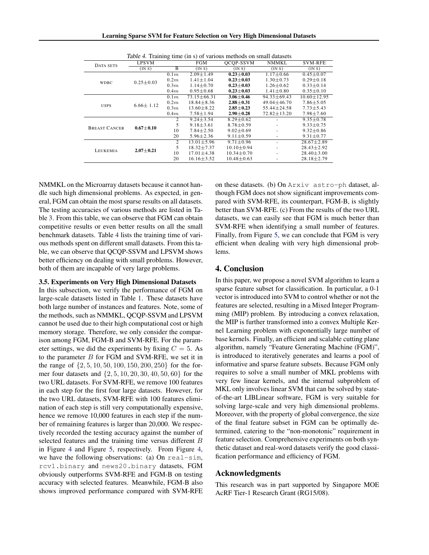| DATA SETS            | LPSVM                      |      | FGM              | Table 1. Training three (in 3) or various includes on sinan datasets<br>OCOP-SSVM | <b>NMMKL</b>      | SVM-RFE          |
|----------------------|----------------------------|------|------------------|-----------------------------------------------------------------------------------|-------------------|------------------|
|                      | $\overline{(\text{IN} S)}$ | B    | (IN S)           | (INS)                                                                             | (INS)             | (INS)            |
| <b>WDBC</b>          |                            | 0.1m | $2.09 \pm 1.49$  | $0.23 \pm 0.03$                                                                   | $1.17 \pm 0.66$   | $0.45 \pm 0.07$  |
|                      | $0.25 \pm 0.03$            | 0.2m | $1.41 \pm 1.04$  | $0.23 \pm 0.03$                                                                   | $1.30 \pm 0.73$   | $0.29 \pm 0.18$  |
|                      |                            | 0.3m | $1.14 \pm 0.70$  | $0.23 \pm 0.03$                                                                   | $1.26 \pm 0.62$   | $0.33 \pm 0.14$  |
|                      |                            | 0.4m | $0.95 \pm 0.68$  | $0.23 \pm 0.03$                                                                   | $1.41 \pm 0.80$   | $0.35 \pm 0.10$  |
| <b>USPS</b>          |                            | 0.1m | $73.15 + 66.31$  | $3.06 + 0.46$                                                                     | $94.33 + 69.43$   | $10.60 + 12.95$  |
|                      | $6.66 \pm 1.12$            | 0.2m | $18.84 \pm 8.36$ | $2.88 \pm 0.31$                                                                   | $49.04 \pm 46.70$ | $7.86 \pm 5.05$  |
|                      |                            | 0.3m | $13.60 + 8.22$   | $2.85 + 0.23$                                                                     | $55.44 + 24.58$   | $7.73 + 5.43$    |
|                      |                            | 0.4m | $7.58 \pm 1.94$  | $2.90 \pm 0.28$                                                                   | $72.82 \pm 13.20$ | $7.98 \pm 7.60$  |
| <b>BREAST CANCER</b> | $0.67 + 0.10$              | 2    | $9.24 + 3.54$    | $8.29 + 0.62$                                                                     |                   | $9.35 \pm 0.78$  |
|                      |                            | 5    | $9.18 + 3.61$    | $8.78 \pm 0.59$                                                                   |                   | $9.33 \pm 0.75$  |
|                      |                            | 10   | $7.84 + 2.50$    | $9.02 \pm 0.69$                                                                   |                   | $9.32 \pm 0.86$  |
|                      |                            | 20   | $5.96 \pm 2.36$  | $9.11 \pm 0.59$                                                                   | ٠                 | $9.31 \pm 0.77$  |
| LEUKEMIA             | $2.07 + 0.21$              | 2    | $13.01 + 5.96$   | $9.71 \pm 0.96$                                                                   |                   | $28.67 + 2.89$   |
|                      |                            | 5    | $18.32 \pm 7.37$ | $10.10 \pm 0.94$                                                                  |                   | $28.43 \pm 2.92$ |
|                      |                            | 10   | $17.01 \pm 4.38$ | $10.34 \pm 0.70$                                                                  |                   | $28.40 \pm 3.00$ |
|                      |                            | 20   | $16.16 \pm 3.52$ | $10.48 \pm 0.63$                                                                  |                   | $28.18 \pm 2.79$ |

Table 4. Training time (in s) of various methods on small datasets

NMMKL on the Microarray datasets because it cannot handle such high dimensional problems. As expected, in general, FGM can obtain the most sparse results on all datasets. The testing accuracies of various methods are listed in Table 3. From this table, we can observe that FGM can obtain competitive results or even better results on all the small benchmark datasets. Table 4 lists the training time of various methods spent on different small datasets. From this table, we can observe that QCQP-SSVM and LPSVM shows better efficiency on dealing with small problems. However, both of them are incapable of very large problems.

#### 3.5. Experiments on Very High Dimensional Datasets

In this subsection, we verify the performance of FGM on large-scale datasets listed in Table 1. These datasets have both large number of instances and features. Note, some of the methods, such as NMMKL, QCQP-SSVM and LPSVM cannot be used due to their high computational cost or high memory storage. Therefore, we only consider the comparison among FGM, FGM-B and SVM-RFE. For the parameter settings, we did the experiments by fixing  $C = 5$ . As to the parameter *B* for FGM and SVM-RFE, we set it in the range of *{*2*,* 5*,* 10*,* 50*,* 100*,* 150*,* 200*,* 250*}* for the former four datasets and *{*2*,* 5*,* 10*,* 20*,* 30*,* 40*,* 50*,* 60*}* for the two URL datasets. For SVM-RFE, we remove 100 features in each step for the first four large datasets. However, for the two URL datasets, SVM-RFE with 100 features elimination of each step is still very computationally expensive, hence we remove 10,000 features in each step if the number of remaining features is larger than 20,000. We respectively recorded the testing accuracy against the number of selected features and the training time versus different *B* in Figure 4 and Figure 5, respectively. From Figure 4, we have the following observations: (a) On real-sim, rcv1.binary and news20.binary datasets, FGM obviously outperforms SVM-RFE and FGM-B on testing accuracy with selected features. Meanwhile, FGM-B also shows improved performance compared with SVM-RFE on these datasets. (b) On Arxiv astro-ph dataset, although FGM does not show significant improvements compared with SVM-RFE, its counterpart, FGM-B, is slightly better than SVM-RFE. (c) From the results of the two URL datasets, we can easily see that FGM is much better than SVM-RFE when identifying a small number of features. Finally, from Figure 5, we can conclude that FGM is very efficient when dealing with very high dimensional problems.

# 4. Conclusion

In this paper, we propose a novel SVM algorithm to learn a sparse feature subset for classification. In particular, a 0-1 vector is introduced into SVM to control whether or not the features are selected, resulting in a Mixed Integer Programming (MIP) problem. By introducing a convex relaxation, the MIP is further transformed into a convex Multiple Kernel Learning problem with exponentially large number of base kernels. Finally, an efficient and scalable cutting plane algorithm, namely "Feature Generating Machine (FGM)", is introduced to iteratively generates and learns a pool of informative and sparse feature subsets. Because FGM only requires to solve a small number of MKL problems with very few linear kernels, and the internal subproblem of MKL only involves linear SVM that can be solved by stateof-the-art LIBLinear software, FGM is very suitable for solving large-scale and very high dimensional problems. Moreover, with the property of global convergence, the size of the final feature subset in FGM can be optimally determined, catering to the "non-monotonic" requirement in feature selection. Comprehensive experiments on both synthetic dataset and real-word datasets verify the good classification performance and efficiency of FGM.

# Acknowledgments

This research was in part supported by Singapore MOE AcRF Tier-1 Research Grant (RG15/08).